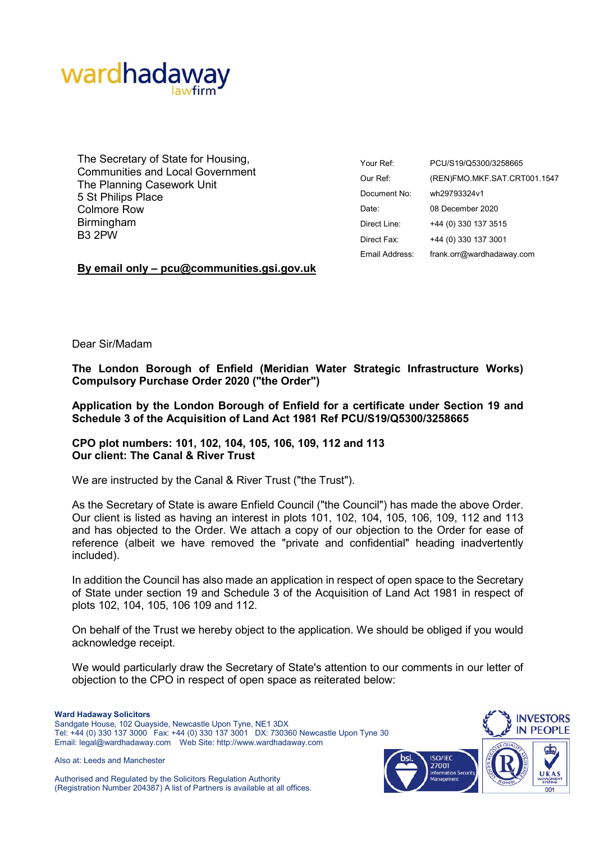

The Secretary of State for Housing, Communities and Local Government The Planning Casework Unit 5 St Philips Place Colmore Row Birmingham B3 2PW

| Your Ref:      | PCU/S19/Q5300/3258665        |
|----------------|------------------------------|
| Our Ref:       | (REN)FMO.MKF.SAT.CRT001.1547 |
| Document No:   | wh29793324v1                 |
| Date:          | 08 December 2020             |
| Direct Line:   | +44 (0) 330 137 3515         |
| Direct Fax:    | +44 (0) 330 137 3001         |
| Email Address: | frank.orr@wardhadaway.com    |

## **By email only – pcu@communities.gsi.gov.uk**

Dear Sir/Madam

**The London Borough of Enfield (Meridian Water Strategic Infrastructure Works) Compulsory Purchase Order 2020 ("the Order")** 

**Application by the London Borough of Enfield for a certificate under Section 19 and Schedule 3 of the Acquisition of Land Act 1981 Ref PCU/S19/Q5300/3258665** 

## **CPO plot numbers: 101, 102, 104, 105, 106, 109, 112 and 113 Our client: The Canal & River Trust**

We are instructed by the Canal & River Trust ("the Trust").

As the Secretary of State is aware Enfield Council ("the Council") has made the above Order. Our client is listed as having an interest in plots 101, 102, 104, 105, 106, 109, 112 and 113 and has objected to the Order. We attach a copy of our objection to the Order for ease of reference (albeit we have removed the "private and confidential" heading inadvertently included).

In addition the Council has also made an application in respect of open space to the Secretary of State under section 19 and Schedule 3 of the Acquisition of Land Act 1981 in respect of plots 102, 104, 105, 106 109 and 112.

On behalf of the Trust we hereby object to the application. We should be obliged if you would acknowledge receipt.

We would particularly draw the Secretary of State's attention to our comments in our letter of objection to the CPO in respect of open space as reiterated below:

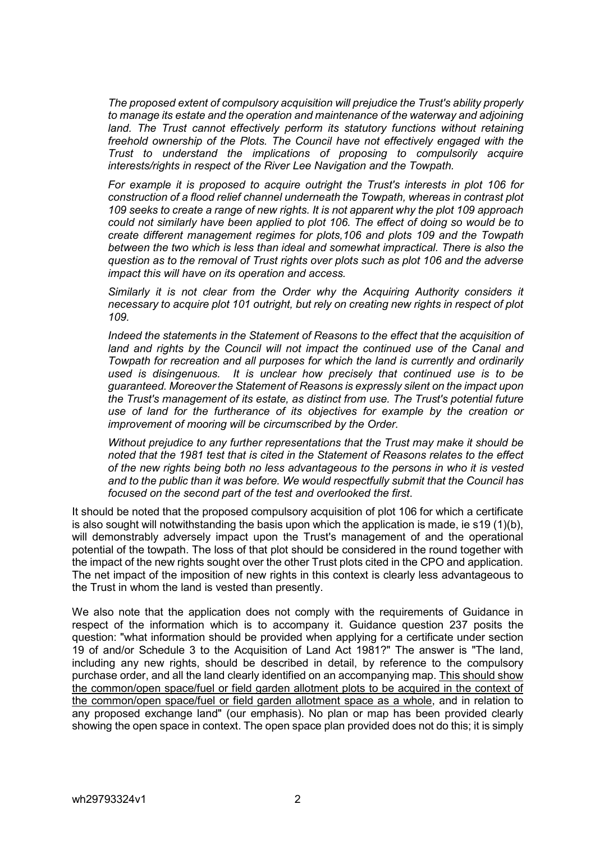*The proposed extent of compulsory acquisition will prejudice the Trust's ability properly to manage its estate and the operation and maintenance of the waterway and adjoining*  land. The Trust cannot effectively perform its statutory functions without retaining *freehold ownership of the Plots. The Council have not effectively engaged with the Trust to understand the implications of proposing to compulsorily acquire interests/rights in respect of the River Lee Navigation and the Towpath.* 

*For example it is proposed to acquire outright the Trust's interests in plot 106 for construction of a flood relief channel underneath the Towpath, whereas in contrast plot 109 seeks to create a range of new rights. It is not apparent why the plot 109 approach could not similarly have been applied to plot 106. The effect of doing so would be to create different management regimes for plots,106 and plots 109 and the Towpath between the two which is less than ideal and somewhat impractical. There is also the question as to the removal of Trust rights over plots such as plot 106 and the adverse impact this will have on its operation and access.* 

*Similarly it is not clear from the Order why the Acquiring Authority considers it necessary to acquire plot 101 outright, but rely on creating new rights in respect of plot 109.* 

*Indeed the statements in the Statement of Reasons to the effect that the acquisition of*  land and rights by the Council will not impact the continued use of the Canal and *Towpath for recreation and all purposes for which the land is currently and ordinarily used is disingenuous. It is unclear how precisely that continued use is to be guaranteed. Moreover the Statement of Reasons is expressly silent on the impact upon the Trust's management of its estate, as distinct from use. The Trust's potential future use of land for the furtherance of its objectives for example by the creation or improvement of mooring will be circumscribed by the Order.* 

*Without prejudice to any further representations that the Trust may make it should be noted that the 1981 test that is cited in the Statement of Reasons relates to the effect of the new rights being both no less advantageous to the persons in who it is vested and to the public than it was before. We would respectfully submit that the Council has focused on the second part of the test and overlooked the first*.

It should be noted that the proposed compulsory acquisition of plot 106 for which a certificate is also sought will notwithstanding the basis upon which the application is made, ie s19 (1)(b), will demonstrably adversely impact upon the Trust's management of and the operational potential of the towpath. The loss of that plot should be considered in the round together with the impact of the new rights sought over the other Trust plots cited in the CPO and application. The net impact of the imposition of new rights in this context is clearly less advantageous to the Trust in whom the land is vested than presently.

We also note that the application does not comply with the requirements of Guidance in respect of the information which is to accompany it. Guidance question 237 posits the question: "what information should be provided when applying for a certificate under section 19 of and/or Schedule 3 to the Acquisition of Land Act 1981?" The answer is "The land, including any new rights, should be described in detail, by reference to the compulsory purchase order, and all the land clearly identified on an accompanying map. This should show the common/open space/fuel or field garden allotment plots to be acquired in the context of the common/open space/fuel or field garden allotment space as a whole, and in relation to any proposed exchange land" (our emphasis). No plan or map has been provided clearly showing the open space in context. The open space plan provided does not do this; it is simply